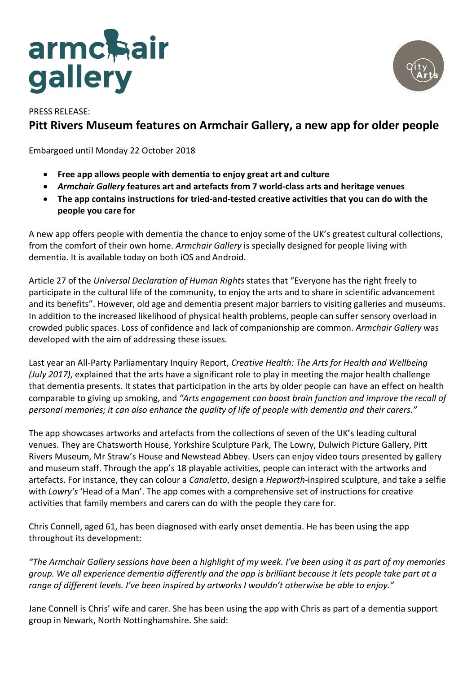# armchair



# PRESS RELEASE: **Pitt Rivers Museum features on Armchair Gallery, a new app for older people**

Embargoed until Monday 22 October 2018

- **Free app allows people with dementia to enjoy great art and culture**
- *Armchair Gallery* **features art and artefacts from 7 world-class arts and heritage venues**
- **The app contains instructions for tried-and-tested creative activities that you can do with the people you care for**

A new app offers people with dementia the chance to enjoy some of the UK's greatest cultural collections, from the comfort of their own home. *Armchair Gallery* is specially designed for people living with dementia. It is available today on both iOS and Android.

Article 27 of the *Universal Declaration of Human Rights* states that "Everyone has the right freely to participate in the cultural life of the community, to enjoy the arts and to share in scientific advancement and its benefits". However, old age and dementia present major barriers to visiting galleries and museums. In addition to the increased likelihood of physical health problems, people can suffer sensory overload in crowded public spaces. Loss of confidence and lack of companionship are common. *Armchair Gallery* was developed with the aim of addressing these issues.

Last year an All-Party Parliamentary Inquiry Report, *Creative Health: The Arts for Health and Wellbeing (July 2017)*, explained that the arts have a significant role to play in meeting the major health challenge that dementia presents. It states that participation in the arts by older people can have an effect on health comparable to giving up smoking, and *"Arts engagement can boost brain function and improve the recall of personal memories; it can also enhance the quality of life of people with dementia and their carers."*

The app showcases artworks and artefacts from the collections of seven of the UK's leading cultural venues. They are Chatsworth House, Yorkshire Sculpture Park, The Lowry, Dulwich Picture Gallery, Pitt Rivers Museum, Mr Straw's House and Newstead Abbey. Users can enjoy video tours presented by gallery and museum staff. Through the app's 18 playable activities, people can interact with the artworks and artefacts. For instance, they can colour a *Canaletto*, design a *Hepworth*-inspired sculpture, and take a selfie with *Lowry's* 'Head of a Man'. The app comes with a comprehensive set of instructions for creative activities that family members and carers can do with the people they care for.

Chris Connell, aged 61, has been diagnosed with early onset dementia. He has been using the app throughout its development:

*"The Armchair Gallery sessions have been a highlight of my week. I've been using it as part of my memories group. We all experience dementia differently and the app is brilliant because it lets people take part at a range of different levels. I've been inspired by artworks I wouldn't otherwise be able to enjoy."*

Jane Connell is Chris' wife and carer. She has been using the app with Chris as part of a dementia support group in Newark, North Nottinghamshire. She said: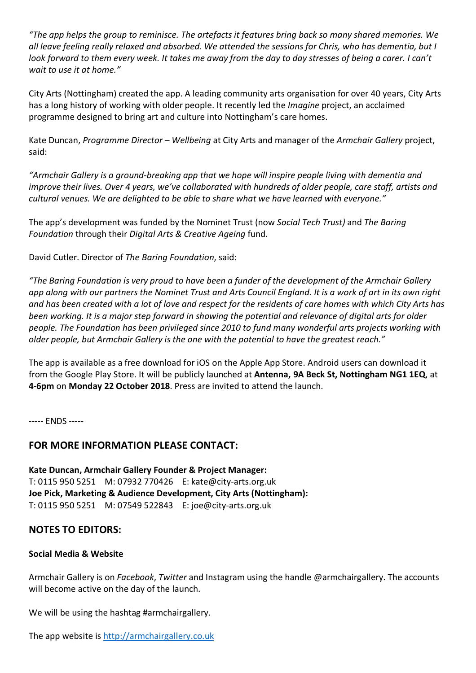*"The app helps the group to reminisce. The artefacts it features bring back so many shared memories. We all leave feeling really relaxed and absorbed. We attended the sessions for Chris, who has dementia, but I look forward to them every week. It takes me away from the day to day stresses of being a carer. I can't wait to use it at home."*

City Arts (Nottingham) created the app. A leading community arts organisation for over 40 years, City Arts has a long history of working with older people. It recently led the *Imagine* project, an acclaimed programme designed to bring art and culture into Nottingham's care homes.

Kate Duncan, *Programme Director – Wellbeing* at City Arts and manager of the *Armchair Gallery* project, said:

*"Armchair Gallery is a ground-breaking app that we hope will inspire people living with dementia and improve their lives. Over 4 years, we've collaborated with hundreds of older people, care staff, artists and cultural venues. We are delighted to be able to share what we have learned with everyone."*

The app's development was funded by the Nominet Trust (now *Social Tech Trust)* and *The Baring Foundation* through their *Digital Arts & Creative Ageing* fund.

David Cutler. Director of *The Baring Foundation*, said:

*"The Baring Foundation is very proud to have been a funder of the development of the Armchair Gallery app along with our partners the Nominet Trust and Arts Council England. It is a work of art in its own right and has been created with a lot of love and respect for the residents of care homes with which City Arts has been working. It is a major step forward in showing the potential and relevance of digital arts for older people. The Foundation has been privileged since 2010 to fund many wonderful arts projects working with older people, but Armchair Gallery is the one with the potential to have the greatest reach."*

The app is available as a free download for iOS on the Apple App Store. Android users can download it from the Google Play Store. It will be publicly launched at **Antenna, 9A Beck St, Nottingham NG1 1EQ**, at **4-6pm** on **Monday 22 October 2018**. Press are invited to attend the launch.

----- ENDS -----

## **FOR MORE INFORMATION PLEASE CONTACT:**

**Kate Duncan, Armchair Gallery Founder & Project Manager:** T: 0115 950 5251 M: 07932 770426 E: kate@city-arts.org.uk **Joe Pick, Marketing & Audience Development, City Arts (Nottingham):** T: 0115 950 5251 M: 07549 522843 E: joe@city-arts.org.uk

## **NOTES TO EDITORS:**

#### **Social Media & Website**

Armchair Gallery is on *Facebook*, *Twitter* and Instagram using the handle @armchairgallery. The accounts will become active on the day of the launch.

We will be using the hashtag #armchairgallery.

The app website is http://armchairgallery.co.uk